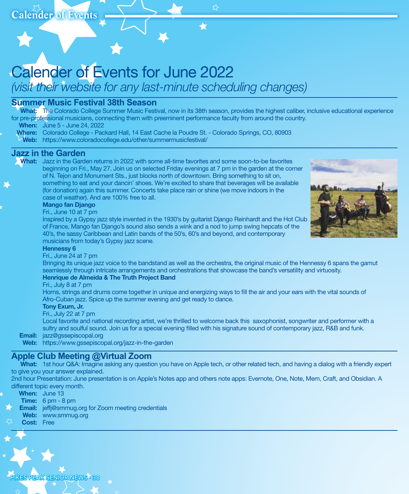# Calender of Events for June 2022

*(visit their website for any last-minute scheduling changes)*

### **Summer Music Festival 38th Season**

What: The Colorado College Summer Music Festival, now in its 38th season, provides the highest caliber, inclusive educational experience for pre-professional musicians, connecting them with preeminent performance faculty from around the country.

☆

When: June 5 - June 24, 2022

- Where: Colorado College Packard Hall, 14 East Cache la Poudre St. Colorado Springs, CO, 80903
- Web: https://www.coloradocollege.edu/other/summermusicfestival/

#### **Jazz in the Garden**

What: Jazz in the Garden returns in 2022 with some all-time favorites and some soon-to-be favorites beginning on Fri., May 27. Join us on selected Friday evenings at 7 pm in the garden at the corner of N. Tejon and Monument Sts., just blocks north of downtown. Bring something to sit on, something to eat and your dancin' shoes. We're excited to share that beverages will be available (for donation) again this summer. Concerts take place rain or shine (we move indoors in the case of weather). And are 100% free to all.



#### Mango fan Django

#### Fri., June 10 at 7 pm

 Inspired by a Gypsy jazz style invented in the 1930's by guitarist Django Reinhardt and the Hot Club of France, Mango fan Django's sound also sends a wink and a nod to jump swing hepcats of the 40's, the sassy Caribbean and Latin bands of the 50's, 60's and beyond, and contemporary musicians from today's Gypsy jazz scene.

#### Hennessy 6

#### Fri., June 24 at 7 pm

 Bringing its unique jazz voice to the bandstand as well as the orchestra, the original music of the Hennessy 6 spans the gamut seamlessly through intricate arrangements and orchestrations that showcase the band's versatility and virtuosity. Henrique de Almeida & The Truth Project Band

#### Fri., July 8 at 7 pm

 Horns, strings and drums come together in unique and energizing ways to fill the air and your ears with the vital sounds of Afro-Cuban jazz. Spice up the summer evening and get ready to dance.

#### Tony Exum, Jr.

Fri., July 22 at 7 pm

 Local favorite and national recording artist, we're thrilled to welcome back this saxophonist, songwriter and performer with a sultry and soulful sound. Join us for a special evening filled with his signature sound of contemporary jazz, R&B and funk.

Email: jazz@gssepiscopal.org

Web: https://www.gssepiscopal.org/jazz-in-the-garden

### **Apple Club Meeting @Virtual Zoom**

What: 1st hour Q&A: Imagine asking any question you have on Apple tech, or other related tech, and having a dialog with a friendly expert to give you your answer explained.

2nd hour Presentation: June presentation is on Apple's Notes app and others note apps: Evernote, One, Note, Mem, Craft, and Obsidian. A different topic every month.

|                   | <b>When:</b> June 13                                       |
|-------------------|------------------------------------------------------------|
|                   | <b>Time:</b> $6 \text{ pm} - 8 \text{ pm}$                 |
|                   | <b>Email:</b> jeffj@smmug.org for Zoom meeting credentials |
|                   | <b>Web:</b> www.smmug.org                                  |
| <b>Cost:</b> Free |                                                            |

S.PEAK SENIOR NEWS • 38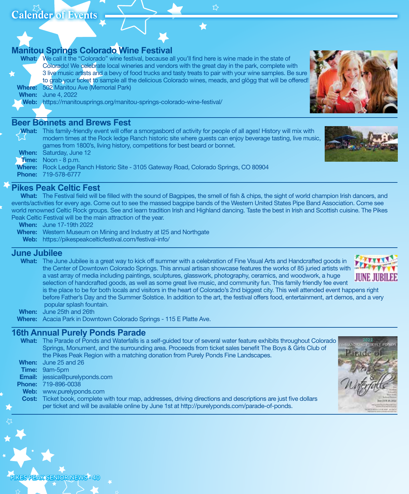### **Manitou Springs Colorado Wine Festival**

What: We call it the "Colorado" wine festival, because all you'll find here is wine made in the state of Colorado! We celebrate local wineries and vendors with the great day in the park, complete with 3 live music artists and a bevy of food trucks and tasty treats to pair with your wine samples. Be sure to grab your ticket to sample all the delicious Colorado wines, meads, and glögg that will be offered! Where: 502 Manitou Ave (Memorial Park)

**When:** June 4, 2022

#### Web: https://manitousprings.org/manitou-springs-colorado-wine-festival/

#### **Beer Bonnets and Brews Fest**

| $\mathcal{N}$ | What: This family-friendly event will offer a smorgasbord of activity for people of all ages! History will mix with |
|---------------|---------------------------------------------------------------------------------------------------------------------|
|               | modern times at the Rock ledge Ranch historic site where guests can enjoy beverage tasting, live music,             |
|               | games from 1800's, living history, competitions for best beard or bonnet.                                           |
|               | <b>When:</b> Saturday, June 12                                                                                      |
|               | <b>Time:</b> Noon - 8 p.m.                                                                                          |
|               | <b>Where:</b> Rock Ledge Ranch Historic Site - 3105 Gateway Road, Colorado Springs, CO 80904                        |
|               | <b>Phone: 719-578-6777</b>                                                                                          |



### **Pikes Peak Celtic Fest**

What: The Festival field will be filled with the sound of Bagpipes, the smell of fish & chips, the sight of world champion Irish dancers, and events/activities for every age. Come out to see the massed bagpipe bands of the Western United States Pipe Band Association. Come see world renowned Celtic Rock groups. See and learn tradition Irish and Highland dancing. Taste the best in Irish and Scottish cuisine. The Pikes Peak Celtic Festival will be the main attraction of the year.

- When: June 17-19th 2022
- Where: Western Museum on Mining and Industry at I25 and Northgate
	- Web: https://pikespeakcelticfestival.com/festival-info/

#### **June Jubilee**

What: The June Jubilee is a great way to kick off summer with a celebration of Fine Visual Arts and Handcrafted goods in the Center of Downtown Colorado Springs. This annual artisan showcase features the works of 85 juried artists with a vast array of media including paintings, sculptures, glasswork, photography, ceramics, and woodwork, a huge selection of handcrafted goods, as well as some great live music, and community fun. This family friendly fee event

 is the place to be for both locals and visitors in the heart of Colorado's 2nd biggest city. This well attended event happens right before Father's Day and the Summer Solstice. In addition to the art, the festival offers food, entertainment, art demos, and a very popular splash fountain.

When: June 25th and 26th

S.PEAK SENIOR NEWS · 40

Where: Acacia Park in Downtown Colorado Springs - 115 E Platte Ave.

### **16th Annual Purely Ponds Parade**

What: The Parade of Ponds and Waterfalls is a self-guided tour of several water feature exhibits throughout Colorado Springs, Monument, and the surrounding area. Proceeds from ticket sales benefit The Boys & Girls Club of the Pikes Peak Region with a matching donation from Purely Ponds Fine Landscapes. When: June 25 and 26 Time: 9am-5pm Email: jessica@purelyponds.com Phone: 719-896-0038 Web: www.purelyponds.com Cost: Ticket book, complete with tour map, addresses, driving directions and descriptions are just five dollars per ticket and will be available online by June 1st at http://purelyponds.com/parade-of-ponds.







ኢን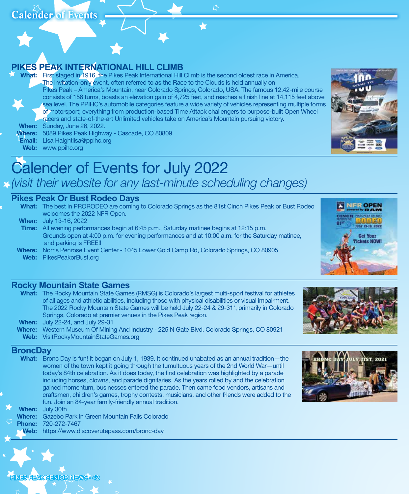☆

## **PIKES PEAK INTERNATIONAL HILL CLIMB**

What: First staged in 1916, the Pikes Peak International Hill Climb is the second oldest race in America. The invitation-only event, often referred to as the Race to the Clouds is held annually on Pikes Peak – America's Mountain, near Colorado Springs, Colorado, USA. The famous 12.42-mile course consists of 156 turns, boasts an elevation gain of 4,725 feet, and reaches a finish line at 14,115 feet above sea level. The PPIHC's automobile categories feature a wide variety of vehicles representing multiple forms of motorsport; everything from production-based Time Attack challengers to purpose-built Open Wheel racers and state-of-the-art Unlimited vehicles take on America's Mountain pursuing victory. When: Sunday, June 26, 2022.

Where: 5089 Pikes Peak Highway - Cascade, CO 80809

Email: Lisa Haightlisa@ppihc.org

Web: www.ppihc.org



# Calender of Events for July 2022 *(visit their website for any last-minute scheduling changes)*

### **Pikes Peak Or Bust Rodeo Days**

What: The best in PRORODEO are coming to Colorado Springs as the 81st Cinch Pikes Peak or Bust Rodeo welcomes the 2022 NFR Open.

When: July 13-16, 2022

- Time: All evening performances begin at 6:45 p.m., Saturday matinee begins at 12:15 p.m. Grounds open at 4:00 p.m. for evening performances and at 10:00 a.m. for the Saturday matinee, and parking is FREE!!
- Where: Norris Penrose Event Center 1045 Lower Gold Camp Rd, Colorado Springs, CO 80905 Web: PikesPeakorBust.org

### **Rocky Mountain State Games**

| What: The Rocky Mountain State Games (RMSG) is Colorado's largest multi-sport festival for athletes  |
|------------------------------------------------------------------------------------------------------|
| of all ages and athletic abilities, including those with physical disabilities or visual impairment. |
| The 2022 Rocky Mountain State Games will be held July 22-24 & 29-31*, primarily in Colorado          |
| Springs, Colorado at premier venues in the Pikes Peak region.                                        |
| <b>When:</b> July 22-24, and July 29-31                                                              |
| <b>Where:</b> Western Museum Of Mining And Industry - 225 N Gate Blvd, Colorado Springs, CO 80921    |
| $\mathbf{u}$                                                                                         |

Web: VisitRockyMountainStateGames.org

### **BroncDay**

What: Bronc Day is fun! It began on July 1, 1939. It continued unabated as an annual tradition—the women of the town kept it going through the tumultuous years of the 2nd World War—until today's 84th celebration. As it does today, the first celebration was highlighted by a parade including horses, clowns, and parade dignitaries. As the years rolled by and the celebration gained momentum, businesses entered the parade. Then came food vendors, artisans and craftsmen, children's games, trophy contests, musicians, and other friends were added to the fun. Join an 84-year family-friendly annual tradition.



|  | <b>When:</b> July 30th                                     |
|--|------------------------------------------------------------|
|  | <b>Where:</b> Gazebo Park in Green Mountain Falls Colorado |
|  | <b>Phone: 720-272-7467</b>                                 |
|  | Web: https://www.discoverutepass.com/bronc-day             |





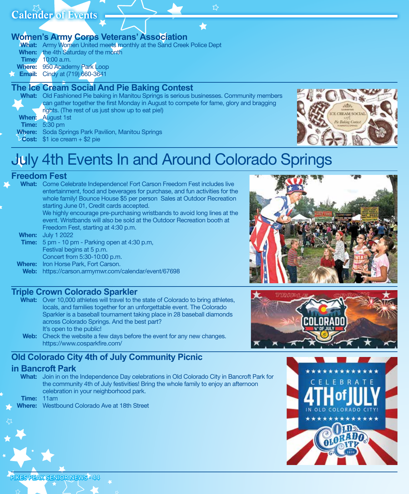ኢን

**Women's Army Corps Veterans' Association**

What: Army Women United meets monthly at the Sand Creek Police Dept When: the 4th Saturday of the month Time: 10:00 a.m. Where: 950 Academy Park Loop **Email:** Cindy at (719) 660-3641

### **The Ice Cream Social And Pie Baking Contest**

What: Old Fashioned Pie baking in Manitou Springs is serious businesses. Community members can gather together the first Monday in August to compete for fame, glory and bragging

rights. (The rest of us just show up to eat pie!)

When: August 1st

**Time:** 5:30 pm

- Where: Soda Springs Park Pavilion, Manitou Springs
- Cost: \$1 ice cream + \$2 pie



# July 4th Events In and Around Colorado Springs

### **Freedom Fest**

- What: Come Celebrate Independence! Fort Carson Freedom Fest includes live entertainment, food and beverages for purchase, and fun activities for the whole family! Bounce House \$5 per person Sales at Outdoor Recreation starting June 01, Credit cards accepted. We highly encourage pre-purchasing wristbands to avoid long lines at the event. Wristbands will also be sold at the Outdoor Recreation booth at Freedom Fest, starting at 4:30 p.m. **When:** July 1 2022
- Time: 5 pm 10 pm Parking open at 4:30 p.m, Festival begins at 5 p.m. Concert from 5:30-10:00 p.m.
- Where: Iron Horse Park, Fort Carson.
- Web: https://carson.armymwr.com/calendar/event/67698

### **Triple Crown Colorado Sparkler**

- What: Over 10,000 athletes will travel to the state of Colorado to bring athletes, locals, and families together for an unforgettable event. The Colorado Sparkler is a baseball tournament taking place in 28 baseball diamonds across Colorado Springs. And the best part? It's open to the public!
- Web: Check the website a few days before the event for any new changes. https://www.cosparkfire.com/

## **Old Colorado City 4th of July Community Picnic**

### **in Bancroft Park**

What: Join in on the Independence Day celebrations in Old Colorado City in Bancroft Park for the community 4th of July festivities! Bring the whole family to enjoy an afternoon celebration in your neighborhood park.

Time: 11am

Where: Westbound Colorado Ave at 18th Street





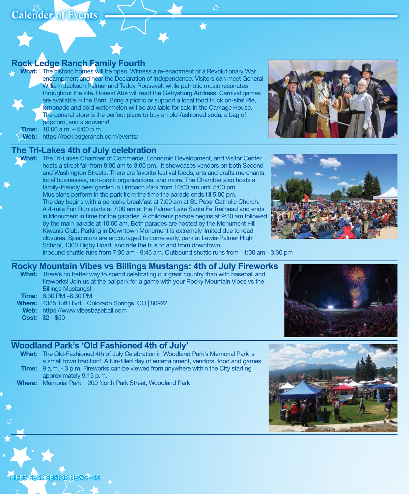**Rock Ledge Ranch Family Fourth**

What: The historic homes will be open. Witness a re-enactment of a Revolutionary War encampment and hear the Declaration of Independence. Visitors can meet General William Jackson Palmer and Teddy Roosevelt while patriotic music resonates throughout the site. Honest Abe will read the Gettysburg Address. Carnival games are available in the Barn. Bring a picnic or support a local food truck on-site! Pie, lemonade and cold watermelon will be available for sale in the Carriage House. The general store is the perfect place to buy an old-fashioned soda, a bag of popcorn, and a souvenir!



Web: https://rockledgeranch.com/events/

### **The Tri-Lakes 4th of July celebration**

What: The Tri-Lakes Chamber of Commerce, Economic Development, and Visitor Center hosts a street fair from 8:00 am to 3:00 pm. It showcases vendors on both Second and Washington Streets. There are favorite festival foods, arts and crafts merchants, local businesses, non-profit organizations, and more. The Chamber also hosts a family-friendly beer garden in Limbach Park from 10:00 am until 5:00 pm. Musicians perform in the park from the time the parade ends till 5:00 pm. The day begins with a pancake breakfast at 7:00 am at St. Peter Catholic Church. A 4-mile Fun Run starts at 7:00 am at the Palmer Lake Santa Fe Trailhead and ends in Monument in time for the parades. A children's parade begins at 9:30 am followed by the main parade at 10:00 am. Both parades are hosted by the Monument Hill Kiwanis Club. Parking in Downtown Monument is extremely limited due to road closures. Spectators are encouraged to come early, park at Lewis-Palmer High School, 1300 Higby Road, and ride the bus to and from downtown.





Inbound shuttle runs from 7:30 am - 9:45 am. Outbound shuttle runs from 11:00 am - 3:30 pm

### **Rocky Mountain Vibes vs Billings Mustangs: 4th of July Fireworks**

- What: There's no better way to spend celebrating our great country than with baseball and fireworks! Join us at the ballpark for a game with your Rocky Mountain Vibes vs the Billings Mustangs! Time: 6:30 PM –8:30 PM
- Where: 4385 Tutt Blvd. | Colorado Springs, CO | 80922
- Web: https://www.vibesbaseball.com

SPEAK SENIOR NEWS · 46

Cost: \$2 - \$50



### **Woodland Park's 'Old Fashioned 4th of July'**

- What: The Old-Fashioned 4th of July Celebration in Woodland Park's Memorial Park is a small town tradition! A fun-filled day of entertainment, vendors, food and games. Time: 9 a.m. - 3 p.m. Fireworks can be viewed from anywhere within the City starting approximately 9:15 p.m.
- Where: Memorial Park 200 North Park Street, Woodland Park